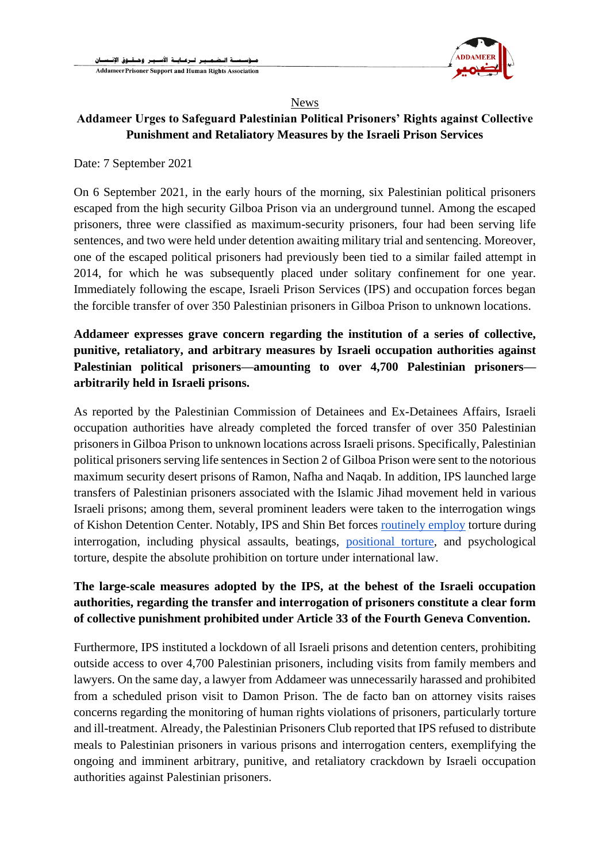

## News

## **Addameer Urges to Safeguard Palestinian Political Prisoners' Rights against Collective Punishment and Retaliatory Measures by the Israeli Prison Services**

Date: 7 September 2021

On 6 September 2021, in the early hours of the morning, six Palestinian political prisoners escaped from the high security Gilboa Prison via an underground tunnel. Among the escaped prisoners, three were classified as maximum-security prisoners, four had been serving life sentences, and two were held under detention awaiting military trial and sentencing. Moreover, one of the escaped political prisoners had previously been tied to a similar failed attempt in 2014, for which he was subsequently placed under solitary confinement for one year. Immediately following the escape, Israeli Prison Services (IPS) and occupation forces began the forcible transfer of over 350 Palestinian prisoners in Gilboa Prison to unknown locations.

## **Addameer expresses grave concern regarding the institution of a series of collective, punitive, retaliatory, and arbitrary measures by Israeli occupation authorities against Palestinian political prisoners—amounting to over 4,700 Palestinian prisoners arbitrarily held in Israeli prisons.**

As reported by the Palestinian Commission of Detainees and Ex-Detainees Affairs, Israeli occupation authorities have already completed the forced transfer of over 350 Palestinian prisoners in Gilboa Prison to unknown locations across Israeli prisons. Specifically, Palestinian political prisoners serving life sentences in Section 2 of Gilboa Prison were sent to the notorious maximum security desert prisons of Ramon, Nafha and Naqab. In addition, IPS launched large transfers of Palestinian prisoners associated with the Islamic Jihad movement held in various Israeli prisons; among them, several prominent leaders were taken to the interrogation wings of Kishon Detention Center. Notably, IPS and Shin Bet forces [routinely employ](https://www.addameer.org/sites/default/files/publications/al_moscabiyeh_report_0.pdf) torture during interrogation, including physical assaults, beatings, [positional torture,](https://www.addameer.org/publications/torture-positions-israeli-occupation-prisons) and psychological torture, despite the absolute prohibition on torture under international law.

## **The large-scale measures adopted by the IPS, at the behest of the Israeli occupation authorities, regarding the transfer and interrogation of prisoners constitute a clear form of collective punishment prohibited under Article 33 of the Fourth Geneva Convention.**

Furthermore, IPS instituted a lockdown of all Israeli prisons and detention centers, prohibiting outside access to over 4,700 Palestinian prisoners, including visits from family members and lawyers. On the same day, a lawyer from Addameer was unnecessarily harassed and prohibited from a scheduled prison visit to Damon Prison. The de facto ban on attorney visits raises concerns regarding the monitoring of human rights violations of prisoners, particularly torture and ill-treatment. Already, the Palestinian Prisoners Club reported that IPS refused to distribute meals to Palestinian prisoners in various prisons and interrogation centers, exemplifying the ongoing and imminent arbitrary, punitive, and retaliatory crackdown by Israeli occupation authorities against Palestinian prisoners.